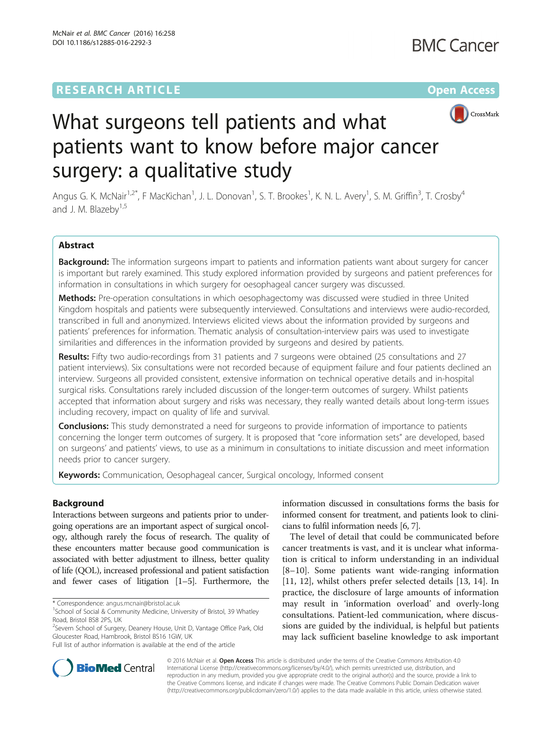# **RESEARCH ARTICLE External Structure Community Community Community Community Community Community Community Community**



# What surgeons tell patients and what patients want to know before major cancer surgery: a qualitative study

Angus G. K. McNair<sup>1,2\*</sup>, F MacKichan<sup>1</sup>, J. L. Donovan<sup>1</sup>, S. T. Brookes<sup>1</sup>, K. N. L. Avery<sup>1</sup>, S. M. Griffin<sup>3</sup>, T. Crosby<sup>4</sup> and J. M. Blazeby $^{1,5}$ 

# Abstract

Background: The information surgeons impart to patients and information patients want about surgery for cancer is important but rarely examined. This study explored information provided by surgeons and patient preferences for information in consultations in which surgery for oesophageal cancer surgery was discussed.

Methods: Pre-operation consultations in which oesophagectomy was discussed were studied in three United Kingdom hospitals and patients were subsequently interviewed. Consultations and interviews were audio-recorded, transcribed in full and anonymized. Interviews elicited views about the information provided by surgeons and patients' preferences for information. Thematic analysis of consultation-interview pairs was used to investigate similarities and differences in the information provided by surgeons and desired by patients.

Results: Fifty two audio-recordings from 31 patients and 7 surgeons were obtained (25 consultations and 27 patient interviews). Six consultations were not recorded because of equipment failure and four patients declined an interview. Surgeons all provided consistent, extensive information on technical operative details and in-hospital surgical risks. Consultations rarely included discussion of the longer-term outcomes of surgery. Whilst patients accepted that information about surgery and risks was necessary, they really wanted details about long-term issues including recovery, impact on quality of life and survival.

**Conclusions:** This study demonstrated a need for surgeons to provide information of importance to patients concerning the longer term outcomes of surgery. It is proposed that "core information sets" are developed, based on surgeons' and patients' views, to use as a minimum in consultations to initiate discussion and meet information needs prior to cancer surgery.

Keywords: Communication, Oesophageal cancer, Surgical oncology, Informed consent

# Background

Interactions between surgeons and patients prior to undergoing operations are an important aspect of surgical oncology, although rarely the focus of research. The quality of these encounters matter because good communication is associated with better adjustment to illness, better quality of life (QOL), increased professional and patient satisfaction and fewer cases of litigation [\[1](#page-6-0)–[5](#page-6-0)]. Furthermore, the

information discussed in consultations forms the basis for informed consent for treatment, and patients look to clinicians to fulfil information needs [[6](#page-6-0), [7\]](#page-6-0).

The level of detail that could be communicated before cancer treatments is vast, and it is unclear what information is critical to inform understanding in an individual [[8](#page-6-0)–[10\]](#page-6-0). Some patients want wide-ranging information [[11, 12](#page-6-0)], whilst others prefer selected details [[13](#page-6-0), [14\]](#page-6-0). In practice, the disclosure of large amounts of information may result in 'information overload' and overly-long consultations. Patient-led communication, where discussions are guided by the individual, is helpful but patients may lack sufficient baseline knowledge to ask important



© 2016 McNair et al. Open Access This article is distributed under the terms of the Creative Commons Attribution 4.0 International License [\(http://creativecommons.org/licenses/by/4.0/](http://creativecommons.org/licenses/by/4.0/)), which permits unrestricted use, distribution, and reproduction in any medium, provided you give appropriate credit to the original author(s) and the source, provide a link to the Creative Commons license, and indicate if changes were made. The Creative Commons Public Domain Dedication waiver [\(http://creativecommons.org/publicdomain/zero/1.0/](http://creativecommons.org/publicdomain/zero/1.0/)) applies to the data made available in this article, unless otherwise stated.

<sup>\*</sup> Correspondence: [angus.mcnair@bristol.ac.uk](mailto:angus.mcnair@bristol.ac.uk) <sup>1</sup>

<sup>&</sup>lt;sup>1</sup>School of Social & Community Medicine, University of Bristol, 39 Whatley Road, Bristol BS8 2PS, UK

<sup>&</sup>lt;sup>2</sup>Severn School of Surgery, Deanery House, Unit D, Vantage Office Park, Old Gloucester Road, Hambrook, Bristol BS16 1GW, UK

Full list of author information is available at the end of the article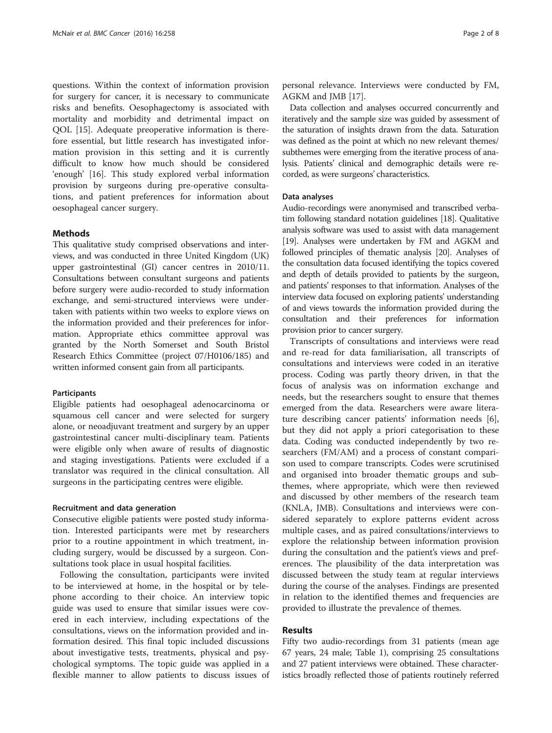questions. Within the context of information provision for surgery for cancer, it is necessary to communicate risks and benefits. Oesophagectomy is associated with mortality and morbidity and detrimental impact on QOL [[15\]](#page-6-0). Adequate preoperative information is therefore essential, but little research has investigated information provision in this setting and it is currently difficult to know how much should be considered 'enough' [\[16](#page-7-0)]. This study explored verbal information provision by surgeons during pre-operative consultations, and patient preferences for information about oesophageal cancer surgery.

#### Methods

This qualitative study comprised observations and interviews, and was conducted in three United Kingdom (UK) upper gastrointestinal (GI) cancer centres in 2010/11. Consultations between consultant surgeons and patients before surgery were audio-recorded to study information exchange, and semi-structured interviews were undertaken with patients within two weeks to explore views on the information provided and their preferences for information. Appropriate ethics committee approval was granted by the North Somerset and South Bristol Research Ethics Committee (project 07/H0106/185) and written informed consent gain from all participants.

#### Participants

Eligible patients had oesophageal adenocarcinoma or squamous cell cancer and were selected for surgery alone, or neoadjuvant treatment and surgery by an upper gastrointestinal cancer multi-disciplinary team. Patients were eligible only when aware of results of diagnostic and staging investigations. Patients were excluded if a translator was required in the clinical consultation. All surgeons in the participating centres were eligible.

#### Recruitment and data generation

Consecutive eligible patients were posted study information. Interested participants were met by researchers prior to a routine appointment in which treatment, including surgery, would be discussed by a surgeon. Consultations took place in usual hospital facilities.

Following the consultation, participants were invited to be interviewed at home, in the hospital or by telephone according to their choice. An interview topic guide was used to ensure that similar issues were covered in each interview, including expectations of the consultations, views on the information provided and information desired. This final topic included discussions about investigative tests, treatments, physical and psychological symptoms. The topic guide was applied in a flexible manner to allow patients to discuss issues of

personal relevance. Interviews were conducted by FM, AGKM and JMB [[17](#page-7-0)].

Data collection and analyses occurred concurrently and iteratively and the sample size was guided by assessment of the saturation of insights drawn from the data. Saturation was defined as the point at which no new relevant themes/ subthemes were emerging from the iterative process of analysis. Patients' clinical and demographic details were recorded, as were surgeons' characteristics.

#### Data analyses

Audio-recordings were anonymised and transcribed verbatim following standard notation guidelines [\[18\]](#page-7-0). Qualitative analysis software was used to assist with data management [[19](#page-7-0)]. Analyses were undertaken by FM and AGKM and followed principles of thematic analysis [\[20\]](#page-7-0). Analyses of the consultation data focused identifying the topics covered and depth of details provided to patients by the surgeon, and patients' responses to that information. Analyses of the interview data focused on exploring patients' understanding of and views towards the information provided during the consultation and their preferences for information provision prior to cancer surgery.

Transcripts of consultations and interviews were read and re-read for data familiarisation, all transcripts of consultations and interviews were coded in an iterative process. Coding was partly theory driven, in that the focus of analysis was on information exchange and needs, but the researchers sought to ensure that themes emerged from the data. Researchers were aware literature describing cancer patients' information needs [\[6](#page-6-0)], but they did not apply a priori categorisation to these data. Coding was conducted independently by two researchers (FM/AM) and a process of constant comparison used to compare transcripts. Codes were scrutinised and organised into broader thematic groups and subthemes, where appropriate, which were then reviewed and discussed by other members of the research team (KNLA, JMB). Consultations and interviews were considered separately to explore patterns evident across multiple cases, and as paired consultations/interviews to explore the relationship between information provision during the consultation and the patient's views and preferences. The plausibility of the data interpretation was discussed between the study team at regular interviews during the course of the analyses. Findings are presented in relation to the identified themes and frequencies are provided to illustrate the prevalence of themes.

### Results

Fifty two audio-recordings from 31 patients (mean age 67 years, 24 male; Table [1](#page-2-0)), comprising 25 consultations and 27 patient interviews were obtained. These characteristics broadly reflected those of patients routinely referred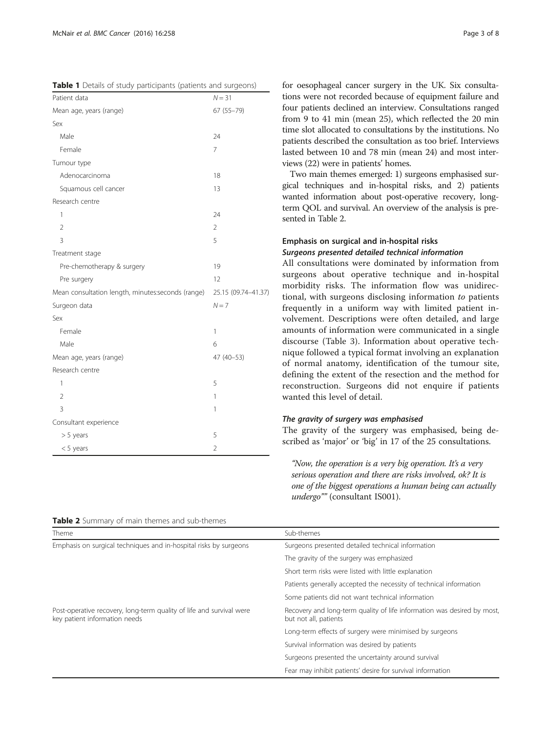<span id="page-2-0"></span>**Table 1** Details of study participants (patients and surgeons)

| Patient data                                       | $N = 31$            |
|----------------------------------------------------|---------------------|
| Mean age, years (range)                            | $67(55 - 79)$       |
| Sex                                                |                     |
| Male                                               | 24                  |
| Female                                             | 7                   |
| Tumour type                                        |                     |
| Adenocarcinoma                                     | 18                  |
| Squamous cell cancer                               | 13                  |
| Research centre                                    |                     |
| 1                                                  | 24                  |
| $\overline{2}$                                     | $\overline{2}$      |
| 3                                                  | 5                   |
| Treatment stage                                    |                     |
| Pre-chemotherapy & surgery                         | 19                  |
| Pre surgery                                        | 12                  |
| Mean consultation length, minutes: seconds (range) | 25.15 (09.74-41.37) |
| Surgeon data                                       | $N = 7$             |
| Sex                                                |                     |
| Female                                             | 1                   |
| Male                                               | 6                   |
| Mean age, years (range)                            | 47 (40-53)          |
| Research centre                                    |                     |
| 1                                                  | 5                   |
| $\overline{2}$                                     | 1                   |
| 3                                                  | 1                   |
| Consultant experience                              |                     |
| $> 5$ years                                        | 5                   |
| <5 years                                           | $\overline{2}$      |

for oesophageal cancer surgery in the UK. Six consultations were not recorded because of equipment failure and four patients declined an interview. Consultations ranged from 9 to 41 min (mean 25), which reflected the 20 min time slot allocated to consultations by the institutions. No patients described the consultation as too brief. Interviews lasted between 10 and 78 min (mean 24) and most interviews (22) were in patients' homes.

Two main themes emerged: 1) surgeons emphasised surgical techniques and in-hospital risks, and 2) patients wanted information about post-operative recovery, longterm QOL and survival. An overview of the analysis is presented in Table 2.

# Emphasis on surgical and in-hospital risks Surgeons presented detailed technical information

All consultations were dominated by information from surgeons about operative technique and in-hospital morbidity risks. The information flow was unidirectional, with surgeons disclosing information to patients frequently in a uniform way with limited patient involvement. Descriptions were often detailed, and large amounts of information were communicated in a single discourse (Table [3](#page-3-0)). Information about operative technique followed a typical format involving an explanation of normal anatomy, identification of the tumour site, defining the extent of the resection and the method for reconstruction. Surgeons did not enquire if patients wanted this level of detail.

### The gravity of surgery was emphasised

The gravity of the surgery was emphasised, being described as 'major' or 'big' in 17 of the 25 consultations.

"Now, the operation is a very big operation. It's a very serious operation and there are risks involved, ok? It is one of the biggest operations a human being can actually undergo"" (consultant IS001).

| Table 2 Summary of main themes and sub-themes |  |
|-----------------------------------------------|--|
|-----------------------------------------------|--|

| Theme                                                                                                 | Sub-themes                                                                                       |
|-------------------------------------------------------------------------------------------------------|--------------------------------------------------------------------------------------------------|
| Emphasis on surgical techniques and in-hospital risks by surgeons                                     | Surgeons presented detailed technical information                                                |
|                                                                                                       | The gravity of the surgery was emphasized                                                        |
|                                                                                                       | Short term risks were listed with little explanation                                             |
|                                                                                                       | Patients generally accepted the necessity of technical information                               |
|                                                                                                       | Some patients did not want technical information                                                 |
| Post-operative recovery, long-term quality of life and survival were<br>key patient information needs | Recovery and long-term quality of life information was desired by most,<br>but not all, patients |
|                                                                                                       | Long-term effects of surgery were minimised by surgeons                                          |
|                                                                                                       | Survival information was desired by patients                                                     |
|                                                                                                       | Surgeons presented the uncertainty around survival                                               |
|                                                                                                       | Fear may inhibit patients' desire for survival information                                       |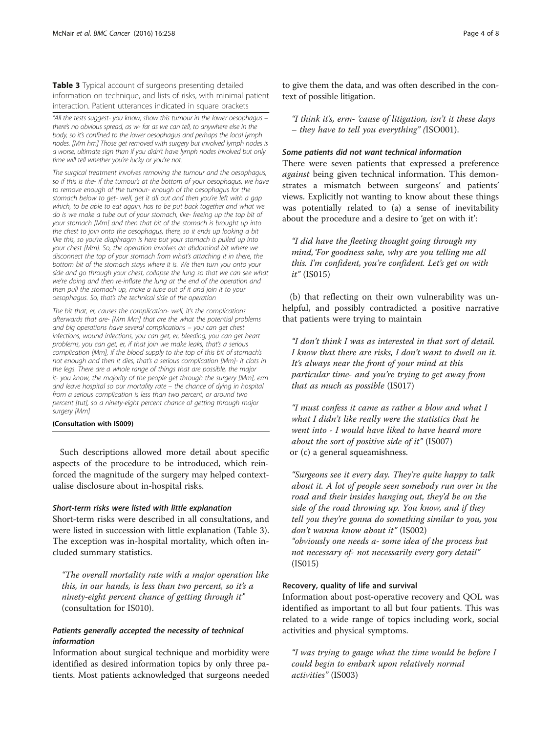<span id="page-3-0"></span>Table 3 Typical account of surgeons presenting detailed information on technique, and lists of risks, with minimal patient interaction. Patient utterances indicated in square brackets

"All the tests suggest- you know, show this tumour in the lower oesophagus – there's no obvious spread, as w- far as we can tell, to anywhere else in the body, so it's confined to the lower oesophagus and perhaps the local lymph nodes. [Mm hm] Those get removed with surgery but involved lymph nodes is a worse, ultimate sign than if you didn't have lymph nodes involved but only time will tell whether you're lucky or you're not.

The surgical treatment involves removing the tumour and the oesophagus, so if this is the- if the tumour's at the bottom of your oesophagus, we have to remove enough of the tumour- enough of the oesophagus for the stomach below to get- well, get it all out and then you're left with a gap which, to be able to eat again, has to be put back together and what we do is we make a tube out of your stomach, like- freeing up the top bit of your stomach [Mm] and then that bit of the stomach is brought up into the chest to join onto the oesophagus, there, so it ends up looking a bit like this, so you're diaphragm is here but your stomach is pulled up into your chest [Mm]. So, the operation involves an abdominal bit where we disconnect the top of your stomach from what's attaching it in there, the bottom bit of the stomach stays where it is. We then turn you onto your side and go through your chest, collapse the lung so that we can see what we're doing and then re-inflate the lung at the end of the operation and then pull the stomach up, make a tube out of it and join it to your oesophagus. So, that's the technical side of the operation

The bit that, er, causes the complication- well, it's the complications afterwards that are- [Mm Mm] that are the what the potential problems and big operations have several complications – you can get chest infections, wound infections, you can get, er, bleeding, you can get heart problems, you can get, er, if that join we make leaks, that's a serious complication [Mm], if the blood supply to the top of this bit of stomach's not enough and then it dies, that's a serious complication [Mm]- it clots in the legs. There are a whole range of things that are possible, the major it- you know, the majority of the people get through the surgery [Mm], erm and leave hospital so our mortality rate – the chance of dying in hospital from a serious complication is less than two percent, or around two percent [tut], so a ninety-eight percent chance of getting through major surgery [Mm]

#### (Consultation with IS009)

Such descriptions allowed more detail about specific aspects of the procedure to be introduced, which reinforced the magnitude of the surgery may helped contextualise disclosure about in-hospital risks.

#### Short-term risks were listed with little explanation

Short-term risks were described in all consultations, and were listed in succession with little explanation (Table 3). The exception was in-hospital mortality, which often included summary statistics.

"The overall mortality rate with a major operation like this, in our hands, is less than two percent, so it's a ninety-eight percent chance of getting through it" (consultation for IS010).

### Patients generally accepted the necessity of technical information

Information about surgical technique and morbidity were identified as desired information topics by only three patients. Most patients acknowledged that surgeons needed to give them the data, and was often described in the context of possible litigation.

"I think it's, erm- 'cause of litigation, isn't it these days – they have to tell you everything" (ISO001).

#### Some patients did not want technical information

There were seven patients that expressed a preference against being given technical information. This demonstrates a mismatch between surgeons' and patients' views. Explicitly not wanting to know about these things was potentially related to (a) a sense of inevitability about the procedure and a desire to 'get on with it':

"I did have the fleeting thought going through my mind, 'For goodness sake, why are you telling me all this. I'm confident, you're confident. Let's get on with  $it''$  (IS015)

(b) that reflecting on their own vulnerability was unhelpful, and possibly contradicted a positive narrative that patients were trying to maintain

"I don't think I was as interested in that sort of detail. I know that there are risks, I don't want to dwell on it. It's always near the front of your mind at this particular time- and you're trying to get away from that as much as possible (IS017)

"I must confess it came as rather a blow and what I what I didn't like really were the statistics that he went into - I would have liked to have heard more about the sort of positive side of it" (IS007) or (c) a general squeamishness.

"Surgeons see it every day. They're quite happy to talk about it. A lot of people seen somebody run over in the road and their insides hanging out, they'd be on the side of the road throwing up. You know, and if they tell you they're gonna do something similar to you, you don't wanna know about it" (IS002) "obviously one needs a- some idea of the process but not necessary of- not necessarily every gory detail" (IS015)

#### Recovery, quality of life and survival

Information about post-operative recovery and QOL was identified as important to all but four patients. This was related to a wide range of topics including work, social activities and physical symptoms.

"I was trying to gauge what the time would be before I could begin to embark upon relatively normal activities" (IS003)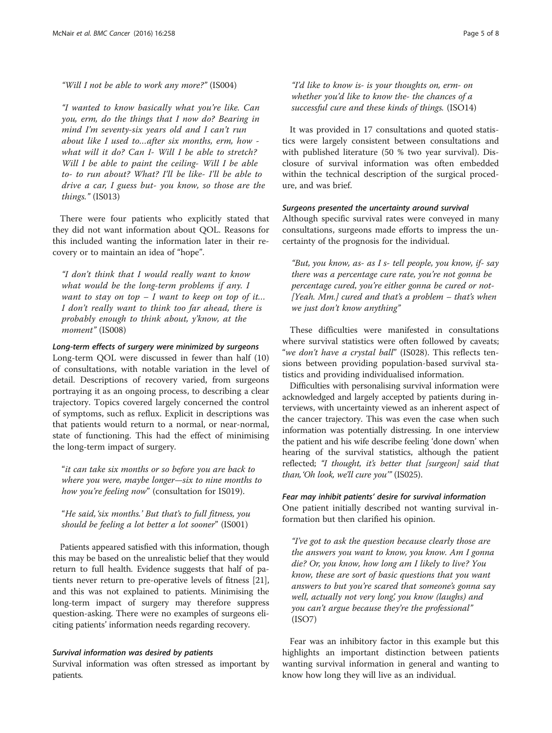"Will I not be able to work any more?" (IS004)

"I wanted to know basically what you're like. Can you, erm, do the things that I now do? Bearing in mind I'm seventy-six years old and I can't run about like I used to…after six months, erm, how what will it do? Can I- Will I be able to stretch? Will I be able to paint the ceiling- Will I be able to- to run about? What? I'll be like- I'll be able to drive a car, I guess but- you know, so those are the things." (IS013)

There were four patients who explicitly stated that they did not want information about QOL. Reasons for this included wanting the information later in their recovery or to maintain an idea of "hope".

"I don't think that I would really want to know what would be the long-term problems if any. I want to stay on top  $- I$  want to keep on top of it... I don't really want to think too far ahead, there is probably enough to think about, y'know, at the moment" (IS008)

#### Long-term effects of surgery were minimized by surgeons

Long-term QOL were discussed in fewer than half (10) of consultations, with notable variation in the level of detail. Descriptions of recovery varied, from surgeons portraying it as an ongoing process, to describing a clear trajectory. Topics covered largely concerned the control of symptoms, such as reflux. Explicit in descriptions was that patients would return to a normal, or near-normal, state of functioning. This had the effect of minimising the long-term impact of surgery.

"it can take six months or so before you are back to where you were, maybe longer—six to nine months to how you're feeling now" (consultation for IS019).

"He said, 'six months.' But that's to full fitness, you should be feeling a lot better a lot sooner" (IS001)

Patients appeared satisfied with this information, though this may be based on the unrealistic belief that they would return to full health. Evidence suggests that half of patients never return to pre-operative levels of fitness [[21](#page-7-0)], and this was not explained to patients. Minimising the long-term impact of surgery may therefore suppress question-asking. There were no examples of surgeons eliciting patients' information needs regarding recovery.

#### Survival information was desired by patients

Survival information was often stressed as important by patients.

"I'd like to know is- is your thoughts on, erm- on whether you'd like to know the- the chances of a successful cure and these kinds of things. (ISO14)

It was provided in 17 consultations and quoted statistics were largely consistent between consultations and with published literature (50 % two year survival). Disclosure of survival information was often embedded within the technical description of the surgical procedure, and was brief.

#### Surgeons presented the uncertainty around survival

Although specific survival rates were conveyed in many consultations, surgeons made efforts to impress the uncertainty of the prognosis for the individual.

"But, you know, as- as I s- tell people, you know, if- say there was a percentage cure rate, you're not gonna be percentage cured, you're either gonna be cured or not- [Yeah. Mm.] cured and that's a problem  $-$  that's when we just don't know anything"

These difficulties were manifested in consultations where survival statistics were often followed by caveats; "we don't have a crystal ball" (IS028). This reflects tensions between providing population-based survival statistics and providing individualised information.

Difficulties with personalising survival information were acknowledged and largely accepted by patients during interviews, with uncertainty viewed as an inherent aspect of the cancer trajectory. This was even the case when such information was potentially distressing. In one interview the patient and his wife describe feeling 'done down' when hearing of the survival statistics, although the patient reflected; "I thought, it's better that [surgeon] said that than,'Oh look, we'll cure you'" (IS025).

Fear may inhibit patients' desire for survival information One patient initially described not wanting survival information but then clarified his opinion.

"I've got to ask the question because clearly those are the answers you want to know, you know. Am I gonna die? Or, you know, how long am I likely to live? You know, these are sort of basic questions that you want answers to but you're scared that someone's gonna say well, actually not very long, you know (laughs) and you can't argue because they're the professional" (ISO7)

Fear was an inhibitory factor in this example but this highlights an important distinction between patients wanting survival information in general and wanting to know how long they will live as an individual.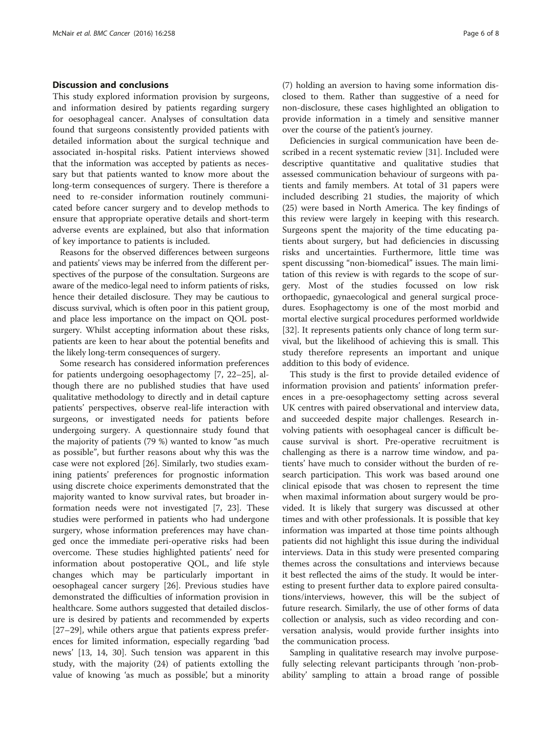#### Discussion and conclusions

This study explored information provision by surgeons, and information desired by patients regarding surgery for oesophageal cancer. Analyses of consultation data found that surgeons consistently provided patients with detailed information about the surgical technique and associated in-hospital risks. Patient interviews showed that the information was accepted by patients as necessary but that patients wanted to know more about the long-term consequences of surgery. There is therefore a need to re-consider information routinely communicated before cancer surgery and to develop methods to ensure that appropriate operative details and short-term adverse events are explained, but also that information of key importance to patients is included.

Reasons for the observed differences between surgeons and patients' views may be inferred from the different perspectives of the purpose of the consultation. Surgeons are aware of the medico-legal need to inform patients of risks, hence their detailed disclosure. They may be cautious to discuss survival, which is often poor in this patient group, and place less importance on the impact on QOL postsurgery. Whilst accepting information about these risks, patients are keen to hear about the potential benefits and the likely long-term consequences of surgery.

Some research has considered information preferences for patients undergoing oesophagectomy [\[7,](#page-6-0) [22](#page-7-0)–[25\]](#page-7-0), although there are no published studies that have used qualitative methodology to directly and in detail capture patients' perspectives, observe real-life interaction with surgeons, or investigated needs for patients before undergoing surgery. A questionnaire study found that the majority of patients (79 %) wanted to know "as much as possible", but further reasons about why this was the case were not explored [\[26\]](#page-7-0). Similarly, two studies examining patients' preferences for prognostic information using discrete choice experiments demonstrated that the majority wanted to know survival rates, but broader information needs were not investigated [[7,](#page-6-0) [23](#page-7-0)]. These studies were performed in patients who had undergone surgery, whose information preferences may have changed once the immediate peri-operative risks had been overcome. These studies highlighted patients' need for information about postoperative QOL, and life style changes which may be particularly important in oesophageal cancer surgery [[26\]](#page-7-0). Previous studies have demonstrated the difficulties of information provision in healthcare. Some authors suggested that detailed disclosure is desired by patients and recommended by experts [[27](#page-7-0)–[29](#page-7-0)], while others argue that patients express preferences for limited information, especially regarding 'bad news' [\[13](#page-6-0), [14](#page-6-0), [30](#page-7-0)]. Such tension was apparent in this study, with the majority (24) of patients extolling the value of knowing 'as much as possible', but a minority

(7) holding an aversion to having some information disclosed to them. Rather than suggestive of a need for non-disclosure, these cases highlighted an obligation to provide information in a timely and sensitive manner over the course of the patient's journey.

Deficiencies in surgical communication have been described in a recent systematic review [\[31](#page-7-0)]. Included were descriptive quantitative and qualitative studies that assessed communication behaviour of surgeons with patients and family members. At total of 31 papers were included describing 21 studies, the majority of which (25) were based in North America. The key findings of this review were largely in keeping with this research. Surgeons spent the majority of the time educating patients about surgery, but had deficiencies in discussing risks and uncertainties. Furthermore, little time was spent discussing "non-biomedical" issues. The main limitation of this review is with regards to the scope of surgery. Most of the studies focussed on low risk orthopaedic, gynaecological and general surgical procedures. Esophagectomy is one of the most morbid and mortal elective surgical procedures performed worldwide [[32\]](#page-7-0). It represents patients only chance of long term survival, but the likelihood of achieving this is small. This study therefore represents an important and unique addition to this body of evidence.

This study is the first to provide detailed evidence of information provision and patients' information preferences in a pre-oesophagectomy setting across several UK centres with paired observational and interview data, and succeeded despite major challenges. Research involving patients with oesophageal cancer is difficult because survival is short. Pre-operative recruitment is challenging as there is a narrow time window, and patients' have much to consider without the burden of research participation. This work was based around one clinical episode that was chosen to represent the time when maximal information about surgery would be provided. It is likely that surgery was discussed at other times and with other professionals. It is possible that key information was imparted at those time points although patients did not highlight this issue during the individual interviews. Data in this study were presented comparing themes across the consultations and interviews because it best reflected the aims of the study. It would be interesting to present further data to explore paired consultations/interviews, however, this will be the subject of future research. Similarly, the use of other forms of data collection or analysis, such as video recording and conversation analysis, would provide further insights into the communication process.

Sampling in qualitative research may involve purposefully selecting relevant participants through 'non-probability' sampling to attain a broad range of possible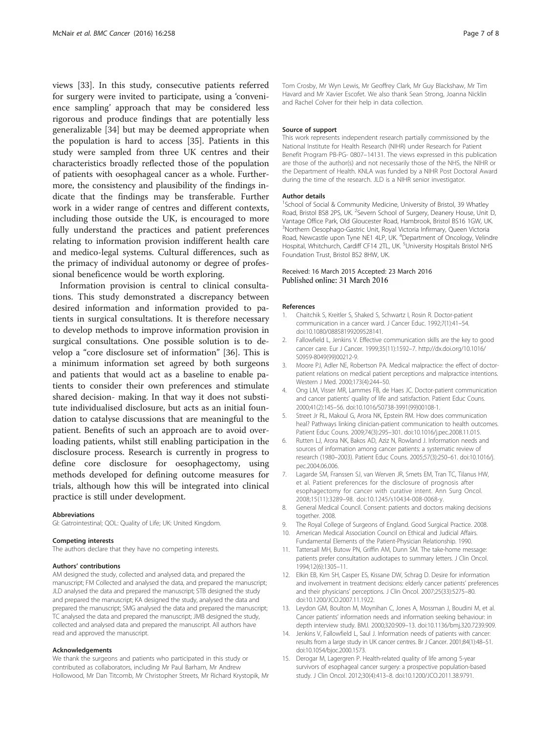<span id="page-6-0"></span>views [[33\]](#page-7-0). In this study, consecutive patients referred for surgery were invited to participate, using a 'convenience sampling' approach that may be considered less rigorous and produce findings that are potentially less generalizable [\[34](#page-7-0)] but may be deemed appropriate when the population is hard to access [\[35\]](#page-7-0). Patients in this study were sampled from three UK centres and their characteristics broadly reflected those of the population of patients with oesophageal cancer as a whole. Furthermore, the consistency and plausibility of the findings indicate that the findings may be transferable. Further work in a wider range of centres and different contexts, including those outside the UK, is encouraged to more fully understand the practices and patient preferences relating to information provision indifferent health care and medico-legal systems. Cultural differences, such as the primacy of individual autonomy or degree of professional beneficence would be worth exploring.

Information provision is central to clinical consultations. This study demonstrated a discrepancy between desired information and information provided to patients in surgical consultations. It is therefore necessary to develop methods to improve information provision in surgical consultations. One possible solution is to develop a "core disclosure set of information" [[36\]](#page-7-0). This is a minimum information set agreed by both surgeons and patients that would act as a baseline to enable patients to consider their own preferences and stimulate shared decision- making. In that way it does not substitute individualised disclosure, but acts as an initial foundation to catalyse discussions that are meaningful to the patient. Benefits of such an approach are to avoid overloading patients, whilst still enabling participation in the disclosure process. Research is currently in progress to define core disclosure for oesophagectomy, using methods developed for defining outcome measures for trials, although how this will be integrated into clinical practice is still under development.

#### Abbreviations

GI: Gatrointestinal; QOL: Quality of Life; UK: United Kingdom.

#### Competing interests

The authors declare that they have no competing interests.

#### Authors' contributions

AM designed the study, collected and analysed data, and prepared the manuscript; FM Collected and analysed the data, and prepared the manuscript; JLD analysed the data and prepared the manuscript; STB designed the study and prepared the manuscript; KA designed the study, analysed the data and prepared the manuscript; SMG analysed the data and prepared the manuscript; TC analysed the data and prepared the manuscript; JMB designed the study, collected and analysed data and prepared the manuscript. All authors have read and approved the manuscript.

#### Acknowledgements

We thank the surgeons and patients who participated in this study or contributed as collaborators, including Mr Paul Barham, Mr Andrew Hollowood, Mr Dan Titcomb, Mr Christopher Streets, Mr Richard Krystopik, Mr

Tom Crosby, Mr Wyn Lewis, Mr Geoffrey Clark, Mr Guy Blackshaw, Mr Tim Havard and Mr Xavier Escofet. We also thank Sean Strong, Joanna Nicklin and Rachel Colver for their help in data collection.

#### Source of support

This work represents independent research partially commissioned by the National Institute for Health Research (NIHR) under Research for Patient Benefit Program PB-PG- 0807–14131. The views expressed in this publication are those of the author(s) and not necessarily those of the NHS, the NIHR or the Department of Health. KNLA was funded by a NIHR Post Doctoral Award during the time of the research. JLD is a NIHR senior investigator.

#### Author details

<sup>1</sup>School of Social & Community Medicine, University of Bristol, 39 Whatley Road, Bristol BS8 2PS, UK. <sup>2</sup>Severn School of Surgery, Deanery House, Unit D Vantage Office Park, Old Gloucester Road, Hambrook, Bristol BS16 1GW, UK. <sup>3</sup>Northern Oesophago-Gastric Unit, Royal Victoria Infirmary, Queen Victoria Road, Newcastle upon Tyne NE1 4LP, UK. <sup>4</sup>Department of Oncology, Velindre Hospital, Whitchurch, Cardiff CF14 2TL, UK. <sup>5</sup>University Hospitals Bristol NHS Foundation Trust, Bristol BS2 8HW, UK.

#### Received: 16 March 2015 Accepted: 23 March 2016 Published online: 31 March 2016

#### References

- 1. Chaitchik S, Kreitler S, Shaked S, Schwartz I, Rosin R. Doctor-patient communication in a cancer ward. J Cancer Educ. 1992;7(1):41–54. doi[:10.1080/08858199209528141](http://dx.doi.org/10.1080/08858199209528141).
- 2. Fallowfield L, Jenkins V. Effective communication skills are the key to good cancer care. Eur J Cancer. 1999;35(11):1592–7. [http://dx.doi.org/10.1016/](http://dx.doi.org/10.1016/S0959-8049(99)00212-9) [S0959-8049\(99\)00212-9](http://dx.doi.org/10.1016/S0959-8049(99)00212-9).
- 3. Moore PJ, Adler NE, Robertson PA. Medical malpractice: the effect of doctorpatient relations on medical patient perceptions and malpractice intentions. Western J Med. 2000;173(4):244–50.
- 4. Ong LM, Visser MR, Lammes FB, de Haes JC. Doctor-patient communication and cancer patients' quality of life and satisfaction. Patient Educ Couns. 2000;41(2):145–56. doi:[10.1016/S0738-3991\(99\)00108-1.](http://dx.doi.org/10.1016/S0738-3991(99)00108-1)
- 5. Street Jr RL, Makoul G, Arora NK, Epstein RM. How does communication heal? Pathways linking clinician-patient communication to health outcomes. Patient Educ Couns. 2009;74(3):295–301. doi:[10.1016/j.pec.2008.11.015.](http://dx.doi.org/10.1016/j.pec.2008.11.015)
- 6. Rutten LJ, Arora NK, Bakos AD, Aziz N, Rowland J. Information needs and sources of information among cancer patients: a systematic review of research (1980–2003). Patient Educ Couns. 2005;57(3):250–61. doi:[10.1016/j.](http://dx.doi.org/10.1016/j.pec.2004.06.006) [pec.2004.06.006](http://dx.doi.org/10.1016/j.pec.2004.06.006).
- 7. Lagarde SM, Franssen SJ, van Werven JR, Smets EM, Tran TC, Tilanus HW, et al. Patient preferences for the disclosure of prognosis after esophagectomy for cancer with curative intent. Ann Surg Oncol. 2008;15(11):3289–98. doi:[10.1245/s10434-008-0068-y.](http://dx.doi.org/10.1245/s10434-008-0068-y)
- 8. General Medical Council. Consent: patients and doctors making decisions together. 2008.
- 9. The Royal College of Surgeons of England. Good Surgical Practice. 2008.
- 10. American Medical Association Council on Ethical and Judicial Affairs. Fundamental Elements of the Patient-Physician Relationship. 1990.
- 11. Tattersall MH, Butow PN, Griffin AM, Dunn SM. The take-home message: patients prefer consultation audiotapes to summary letters. J Clin Oncol. 1994;12(6):1305–11.
- 12. Elkin EB, Kim SH, Casper ES, Kissane DW, Schrag D. Desire for information and involvement in treatment decisions: elderly cancer patients' preferences and their physicians' perceptions. J Clin Oncol. 2007;25(33):5275–80. doi[:10.1200/JCO.2007.11.1922.](http://dx.doi.org/10.1200/JCO.2007.11.1922)
- 13. Leydon GM, Boulton M, Moynihan C, Jones A, Mossman J, Boudini M, et al. Cancer patients' information needs and information seeking behaviour: in depth interview study. BMJ. 2000;320:909–13. doi[:10.1136/bmj.320.7239.909](http://dx.doi.org/10.1136/bmj.320.7239.909).
- 14. Jenkins V, Fallowfield L, Saul J. Information needs of patients with cancer: results from a large study in UK cancer centres. Br J Cancer. 2001;84(1):48–51. doi:[10.1054/bjoc.2000.1573.](http://dx.doi.org/10.1054/bjoc.2000.1573)
- 15. Derogar M, Lagergren P. Health-related quality of life among 5-year survivors of esophageal cancer surgery: a prospective population-based study. J Clin Oncol. 2012;30(4):413–8. doi[:10.1200/JCO.2011.38.9791](http://dx.doi.org/10.1200/JCO.2011.38.9791).